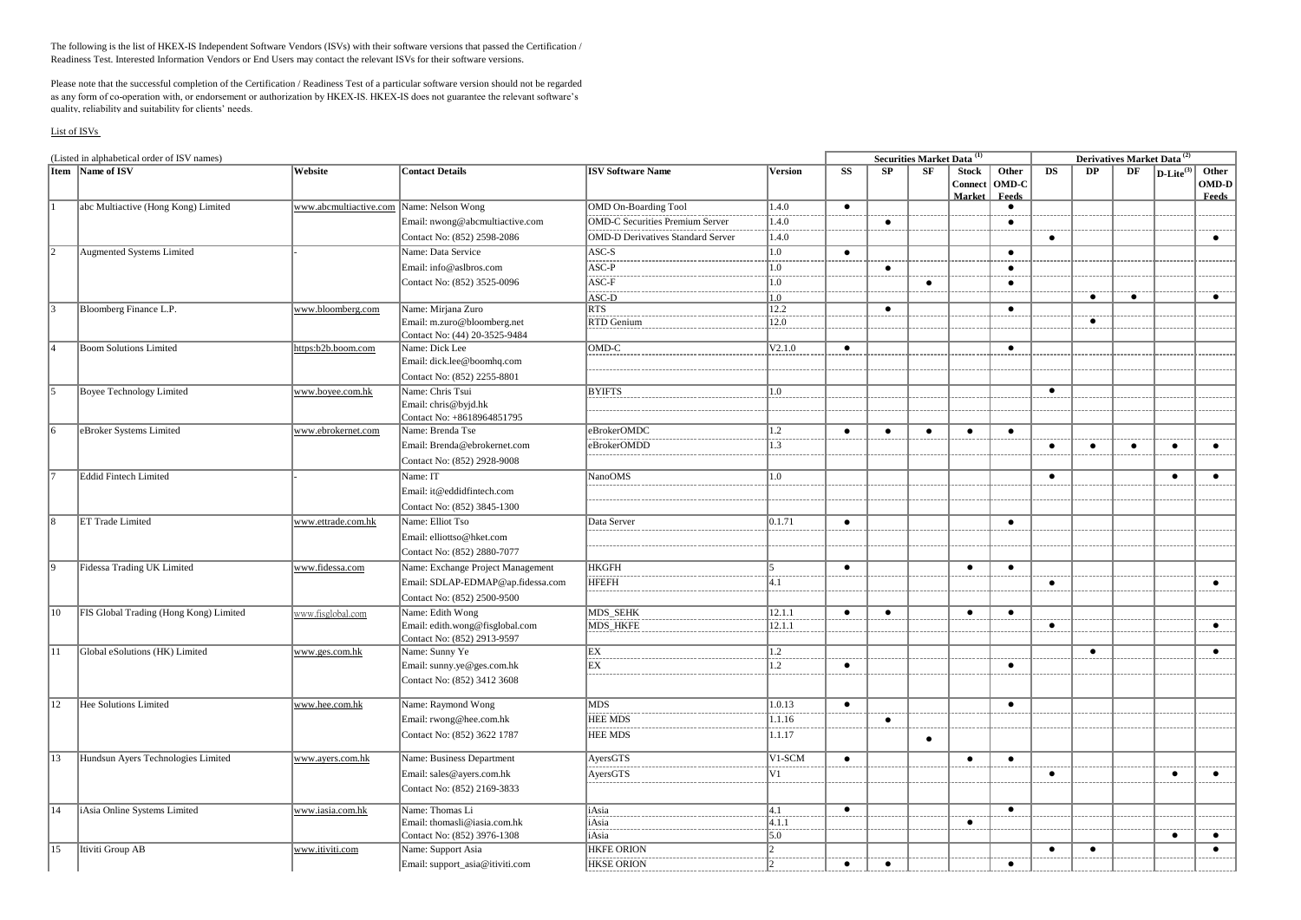The following is the list of HKEX-IS Independent Software Vendors (ISVs) with their software versions that passed the Certification / Readiness Test. Interested Information Vendors or End Users may contact the relevant ISVs for their software versions.

Please note that the successful completion of the Certification / Readiness Test of a particular software version should not be regarded as any form of co-operation with, or endorsement or authorization by HKEX-IS. HKEX-IS does not guarantee the relevant software's quality, reliability and suitability for clients' needs.

## List of ISVs

| (Listed in alphabetical order of ISV names) |                                        |                        |                                   |                                          |                |           |           | <b>Securities Market Data</b> <sup>(1)</sup> |                                   |                         |           |           |           |                                                                    |                                |
|---------------------------------------------|----------------------------------------|------------------------|-----------------------------------|------------------------------------------|----------------|-----------|-----------|----------------------------------------------|-----------------------------------|-------------------------|-----------|-----------|-----------|--------------------------------------------------------------------|--------------------------------|
|                                             | Item Name of ISV                       | Website                | <b>Contact Details</b>            | <b>ISV Software Name</b>                 | <b>Version</b> | <b>SS</b> | SP        | SF                                           | <b>Stock</b><br>Connect<br>Market | Other<br>OMD-C<br>Feeds | <b>DS</b> | DP        | DF        | Derivatives Market Data <sup>(2)</sup><br>$D$ -Lite <sup>(3)</sup> | Other<br>OMD-D<br><b>Feeds</b> |
|                                             | abc Multiactive (Hong Kong) Limited    | www.abcmultiactive.com | Name: Nelson Wong                 | <b>OMD On-Boarding Tool</b>              | 1.4.0          | $\bullet$ |           |                                              |                                   | $\bullet$               |           |           |           |                                                                    |                                |
|                                             |                                        |                        | Email: nwong@abcmultiactive.com   | <b>OMD-C Securities Premium Server</b>   | 1.4.0          |           | $\bullet$ |                                              |                                   | $\bullet$               |           |           |           |                                                                    |                                |
|                                             |                                        |                        | Contact No: (852) 2598-2086       | <b>OMD-D Derivatives Standard Server</b> | 1.4.0          |           |           |                                              |                                   |                         | $\bullet$ |           |           |                                                                    | $\bullet$                      |
| 12                                          | Augmented Systems Limited              |                        | Name: Data Service                | $ASC-S$                                  | 1.0            | $\bullet$ |           |                                              |                                   | $\bullet$               |           |           |           |                                                                    |                                |
|                                             |                                        |                        | Email: info@aslbros.com           | $ASC-P$                                  | 1.0            |           | $\bullet$ |                                              |                                   | $\bullet$               |           |           |           |                                                                    |                                |
|                                             |                                        |                        | Contact No: (852) 3525-0096       | ASC-F                                    | 1.0            |           |           | $\bullet$                                    |                                   | $\bullet$               |           |           |           |                                                                    |                                |
|                                             |                                        |                        |                                   | ASC-D                                    | 1.0            |           |           |                                              |                                   |                         |           | $\bullet$ | $\bullet$ |                                                                    | $\bullet$                      |
|                                             | Bloomberg Finance L.P.                 | www.bloomberg.com      | Name: Mirjana Zuro                | <b>RTS</b>                               | 12.2           |           | $\bullet$ |                                              |                                   | $\bullet$               |           |           |           |                                                                    |                                |
|                                             |                                        |                        | Email: m.zuro@bloomberg.net       | RTD Genium                               | 12.0           |           |           |                                              |                                   |                         |           | $\bullet$ |           |                                                                    |                                |
|                                             |                                        |                        | Contact No: (44) 20-3525-9484     |                                          |                |           |           |                                              |                                   |                         |           |           |           |                                                                    |                                |
|                                             | <b>Boom Solutions Limited</b>          | https:b2b.boom.com     | Name: Dick Lee                    | OMD-C                                    | V2.1.0         | $\bullet$ |           |                                              |                                   | $\bullet$               |           |           |           |                                                                    |                                |
|                                             |                                        |                        | Email: dick.lee@boomhq.com        |                                          |                |           |           |                                              |                                   |                         |           |           |           |                                                                    |                                |
|                                             |                                        |                        | Contact No: (852) 2255-8801       |                                          |                |           |           |                                              |                                   |                         |           |           |           |                                                                    |                                |
| l5                                          | <b>Boyee Technology Limited</b>        | www.boyee.com.hk       | Name: Chris Tsui                  | <b>BYIFTS</b>                            | 1.0            |           |           |                                              |                                   |                         | $\bullet$ |           |           |                                                                    |                                |
|                                             |                                        |                        | Email: chris@byjd.hk              |                                          |                |           |           |                                              |                                   |                         |           |           |           |                                                                    |                                |
|                                             |                                        |                        | Contact No: +8618964851795        |                                          |                |           |           |                                              |                                   |                         |           |           |           |                                                                    |                                |
| 16                                          | eBroker Systems Limited                | www.ebrokernet.com     | Name: Brenda Tse                  | eBrokerOMDC                              | 1.2            | $\bullet$ | $\bullet$ | $\bullet$                                    | $\bullet$                         | $\bullet$               |           |           |           |                                                                    |                                |
|                                             |                                        |                        | Email: Brenda@ebrokernet.com      | eBrokerOMDD                              | 1.3            |           |           |                                              |                                   |                         | $\bullet$ | $\bullet$ | $\bullet$ | $\bullet$                                                          | $\bullet$                      |
|                                             |                                        |                        | Contact No: (852) 2928-9008       |                                          |                |           |           |                                              |                                   |                         |           |           |           |                                                                    |                                |
| 7                                           | Eddid Fintech Limited                  |                        | Name: IT                          | <b>NanoOMS</b>                           | 1.0            |           |           |                                              |                                   |                         | $\bullet$ |           |           | $\bullet$                                                          | $\bullet$                      |
|                                             |                                        |                        | Email: it@eddidfintech.com        |                                          |                |           |           |                                              |                                   |                         |           |           |           |                                                                    |                                |
|                                             |                                        |                        | Contact No: (852) 3845-1300       |                                          |                |           |           |                                              |                                   |                         |           |           |           |                                                                    |                                |
| 8                                           | ET Trade Limited                       | www.ettrade.com.hk     | Name: Elliot Tso                  | Data Server                              | 0.1.71         | $\bullet$ |           |                                              |                                   | $\bullet$               |           |           |           |                                                                    |                                |
|                                             |                                        |                        | Email: elliottso@hket.com         |                                          |                |           |           |                                              |                                   |                         |           |           |           |                                                                    |                                |
|                                             |                                        |                        | Contact No: (852) 2880-7077       |                                          |                |           |           |                                              |                                   |                         |           |           |           |                                                                    |                                |
| l9                                          | Fidessa Trading UK Limited             | www.fidessa.com        | Name: Exchange Project Management | <b>HKGFH</b>                             |                | $\bullet$ |           |                                              | $\bullet$                         | $\bullet$               |           |           |           |                                                                    |                                |
|                                             |                                        |                        | Email: SDLAP-EDMAP@ap.fidessa.com | <b>HFEFH</b>                             | 4.1            |           |           |                                              |                                   |                         | $\bullet$ |           |           |                                                                    | $\bullet$                      |
|                                             |                                        |                        | Contact No: (852) 2500-9500       |                                          |                |           |           |                                              |                                   |                         |           |           |           |                                                                    |                                |
| 10                                          | FIS Global Trading (Hong Kong) Limited | www.fisglobal.com      | Name: Edith Wong                  | <b>MDS_SEHK</b>                          | 12.1.1         | $\bullet$ | $\bullet$ |                                              | $\bullet$                         | $\bullet$               |           |           |           |                                                                    |                                |
|                                             |                                        |                        | Email: edith.wong@fisglobal.com   | MDS HKFE                                 | 12.1.1         |           |           |                                              |                                   |                         | $\bullet$ |           |           |                                                                    | $\bullet$                      |
|                                             |                                        |                        | Contact No: (852) 2913-9597       |                                          |                |           |           |                                              |                                   |                         |           |           |           |                                                                    |                                |
| 11                                          | Global eSolutions (HK) Limited         | www.ges.com.hk         | Name: Sunny Ye                    | EX                                       | 1.2            |           |           |                                              |                                   |                         |           | $\bullet$ |           |                                                                    | $\bullet$                      |
|                                             |                                        |                        | Email: sunny.ye@ges.com.hk        | EX                                       | 1.2            | $\bullet$ |           |                                              |                                   | $\bullet$               |           |           |           |                                                                    |                                |
|                                             |                                        |                        | Contact No: (852) 3412 3608       |                                          |                |           |           |                                              |                                   |                         |           |           |           |                                                                    |                                |
| 12                                          | Hee Solutions Limited                  | www.hee.com.hk         | Name: Raymond Wong                | <b>MDS</b>                               | 1.0.13         | $\bullet$ |           |                                              |                                   | $\bullet$               |           |           |           |                                                                    |                                |
|                                             |                                        |                        | Email: rwong@hee.com.hk           | <b>HEE MDS</b>                           | 1.1.16         |           | $\bullet$ |                                              |                                   |                         |           |           |           |                                                                    |                                |
|                                             |                                        |                        | Contact No: (852) 3622 1787       | <b>HEE MDS</b>                           | 1.1.17         |           |           |                                              |                                   |                         |           |           |           |                                                                    |                                |
|                                             |                                        |                        |                                   |                                          |                |           |           | $\bullet$                                    |                                   |                         |           |           |           |                                                                    |                                |
| 13                                          | Hundsun Ayers Technologies Limited     | www.ayers.com.hk       | Name: Business Department         | AyersGTS                                 | V1-SCM         | $\bullet$ |           |                                              | $\bullet$                         | $\bullet$               |           |           |           |                                                                    |                                |
|                                             |                                        |                        | Email: sales@ayers.com.hk         | AyersGTS                                 | V1             |           |           |                                              |                                   |                         | $\bullet$ |           |           | $\bullet$                                                          | $\bullet$                      |
|                                             |                                        |                        | Contact No: (852) 2169-3833       |                                          |                |           |           |                                              |                                   |                         |           |           |           |                                                                    |                                |
| 14                                          | iAsia Online Systems Limited           | www.iasia.com.hk       | Name: Thomas Li                   | iAsia                                    | $ 4.1\rangle$  | $\bullet$ |           |                                              |                                   | $\bullet$               |           |           |           |                                                                    |                                |
|                                             |                                        |                        | Email: thomasli@iasia.com.hk      | iAsia                                    | 4.1.1          |           |           |                                              | $\bullet$                         |                         |           |           |           |                                                                    |                                |
|                                             |                                        |                        | Contact No: (852) 3976-1308       | iAsia                                    | 5.0            |           |           |                                              |                                   |                         |           |           |           | $\bullet$                                                          | $\bullet$                      |
| 15                                          | Itiviti Group AB                       | www.itiviti.com        | Name: Support Asia                | <b>HKFE ORION</b>                        | $\mathcal{L}$  |           |           |                                              |                                   |                         | $\bullet$ | $\bullet$ |           |                                                                    | $\bullet$                      |
|                                             |                                        |                        | Email: support_asia@itiviti.com   | <b>HKSE ORION</b>                        |                | $\bullet$ | $\bullet$ |                                              |                                   | $\bullet$               |           |           |           |                                                                    |                                |